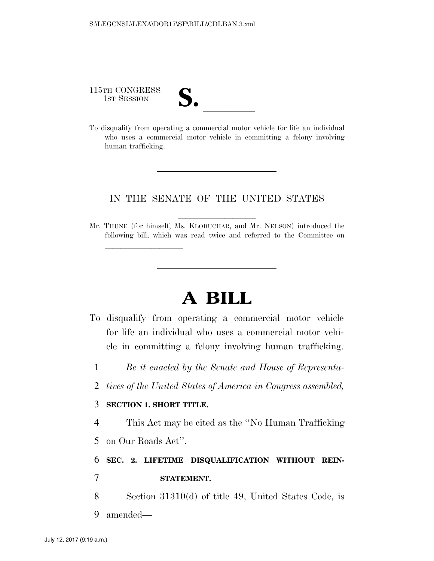115TH CONGRESS

115TH CONGRESS<br>
1ST SESSION<br>
To disqualify from operating a commercial motor vehicle for life an individual who uses a commercial motor vehicle in committing a felony involving human trafficking.

### IN THE SENATE OF THE UNITED STATES

Mr. THUNE (for himself, Ms. KLOBUCHAR, and Mr. NELSON) introduced the following bill; which was read twice and referred to the Committee on

# **A BILL**

- To disqualify from operating a commercial motor vehicle for life an individual who uses a commercial motor vehicle in committing a felony involving human trafficking.
	- 1 *Be it enacted by the Senate and House of Representa-*
	- 2 *tives of the United States of America in Congress assembled,*

#### 3 **SECTION 1. SHORT TITLE.**

<u>llille som starte som starte som starte som s</u>

4 This Act may be cited as the ''No Human Trafficking 5 on Our Roads Act''.

# 6 **SEC. 2. LIFETIME DISQUALIFICATION WITHOUT REIN-**

## 7 **STATEMENT.**

8 Section 31310(d) of title 49, United States Code, is 9 amended